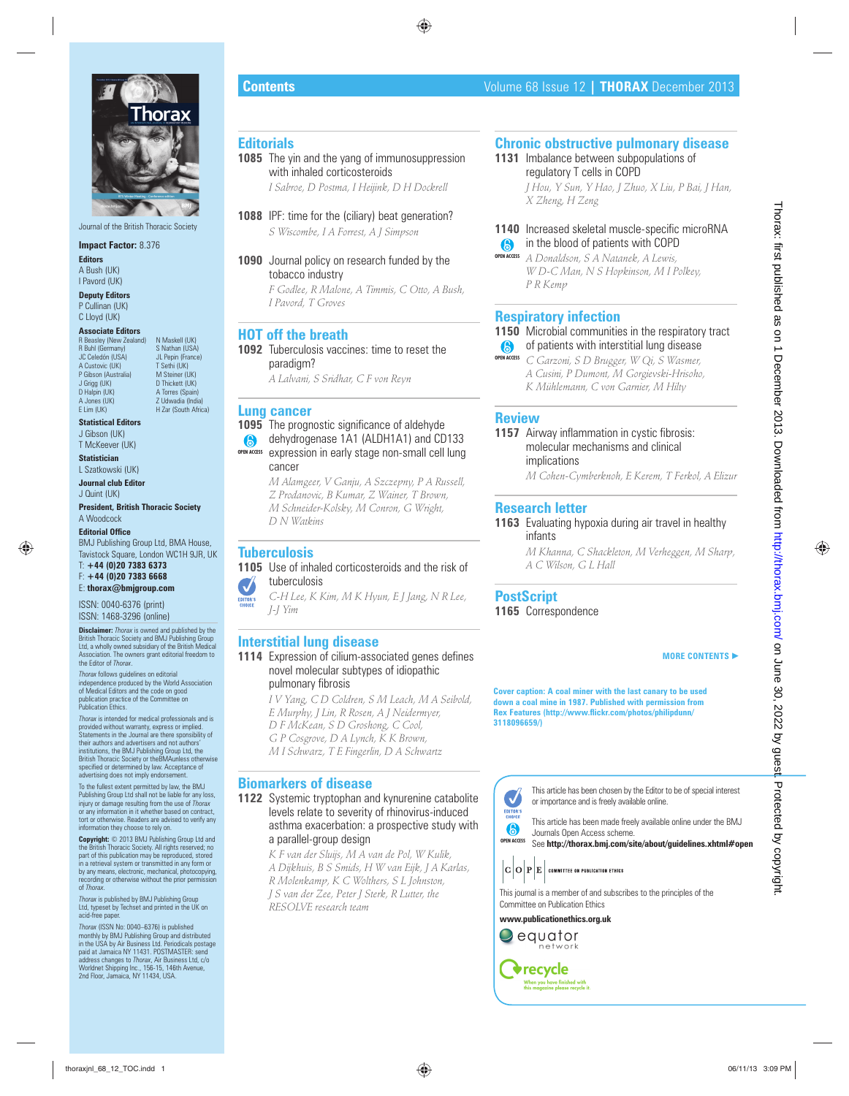

Journal of the British Thoracic Society

#### **Impact Factor:** 8.376

**Editors** A Bush (UK) I Pavord (UK)

**Deputy Editors** P Cullinan (UK) C Lloyd (UK)

#### **Associate Editors**

**Beasley (New Zealand) N Maskell (UK)**<br>Buhl (Germany) S Nathan (USA) R Buhl (Germany) JC Celedón (USA) JL Pepin (France)<br>A Custovic (UK) T Sethi (UK) A Custovic (UK)<br>P Gibson (Australia) P Gibson (Australia) M Steiner (UK)<br>
J Grigg (UK) D Thickett (UK) J Grigg (UK) D Thickett (UK)<br>D Halpin (UK) A Torres (Spain D Halpin (UK) <br>
A Torres (Spain)<br>
A Jones (UK) <br>
A Velowadia (India A Jones (UK) Z Udwadia (India)<br>E Lim (UK) H Zar (South Afric

**Statistical Editors** J Gibson (UK)

T McKeever (UK)

**Statistician** L Szatkowski (UK)

**Journal club Editor** J Quint (UK)

**President, British Thoracic Society** A Woodcock

#### **Editorial Office**

BMJ Publishing Group Ltd, BMA House, Tavistock Square, London WC1H 9JR, UK

H Zar (South Africa)

T: **+44 (0)20 7383 6373** F: **+44 (0)20 7383 6668** E: **thorax@bmjgroup.com**

ISSN: 0040-6376 (print) ISSN: 1468-3296 (online)

**Disclaimer:** *Thorax* is owned and published by the British Thoracic Society and BMJ Publishing Group Ltd, a wholly owned subsidiary of the British Medical Association. The owners grant editorial freedom to the Editor of *Thorax*.

*Thorax* follows guidelines on editorial independence produced by the World Association of Medical Editors and the code on good publication practice of the Committee on Publication Ethics.

*Thorax* is intended for medical professionals and is provided without warranty, express or implied. Statements in the Journal are there sponsibility of their authors and advertisers and not authors' institutions, the BMJ Publishing Group Ltd, the British Thoracic Society or theBMAunless otherwise specified or determined by law. Acceptance of advertising does not imply endorsement.

To the fullest extent permitted by law, the BMJ Publishing Group Ltd shall not be liable for any loss, injury or damage resulting from the use of *Thorax* or any information in it whether based on contract, tort or otherwise. Readers are advised to verify any information they choose to rely on.

**Copyright:** © 2013 BMJ Publishing Group Ltd and the British Thoracic Society. All rights reserved; no part of this publication may be reproduced, stored in a retrieval system or transmitted in any form or by any means, electronic, mechanical, photocopying, recording or otherwise without the prior permission of *Thorax*.

*Thorax* is published by BMJ Publishing Group Ltd, typeset by Techset and printed in the UK on acid-free paper.

*Thorax* (ISSN No: 0040–6376) is published monthly by BMJ Publishing Group and distributed in the USA by Air Business Ltd. Periodicals postage paid at Jamaica NY 11431. POSTMASTER: send address changes to *Thorax*, Air Business Ltd, c/o Worldnet Shipping Inc., 156-15, 146th Avenue, 2nd Floor, Jamaica, NY 11434, USA.

# **Editorials**

**1085** The yin and the yang of immunosuppression with inhaled corticosteroids *I Sabroe, D Postma, I Heijink, D H Dockrell*

- **1088** IPF: time for the (ciliary) beat generation? *S Wiscombe, I A Forrest, A J Simpson*
- **1090** Journal policy on research funded by the tobacco industry

*F Godlee, R Malone, A Timmis, C Otto, A Bush, I Pavord, T Groves*

## **HOT off the breath**

**1092** Tuberculosis vaccines: time to reset the paradigm?

*A Lalvani, S Sridhar, C F von Reyn*

## **Lung cancer**

**1095** The prognostic significance of aldehyde dehydrogenase 1A1 (ALDH1A1) and CD133 **OPEN ACCESS**

expression in early stage non-small cell lung cancer

*M Alamgeer, V Ganju, A Szczepny, P A Russell, Z Prodanovic, B Kumar, Z Wainer, T Brown, M Schneider-Kolsky, M Conron, G Wright, D N Watkins*

# **Tuberculosis**

## **1105** Use of inhaled corticosteroids and the risk of tuberculosis

*C-H Lee, K Kim, M K Hyun, E J Jang, N R Lee, J-J Yim*

## **Interstitial lung disease**

- **1114** Expression of cilium-associated genes defines novel molecular subtypes of idiopathic pulmonary fibrosis
	- *I V Yang, C D Coldren, S M Leach, M A Seibold, E Murphy, J Lin, R Rosen, A J Neidermyer, D F McKean, S D Groshong, C Cool, G P Cosgrove, D A Lynch, K K Brown, M I Schwarz, T E Fingerlin, D A Schwartz*

## **Biomarkers of disease**

**1122** Systemic tryptophan and kynurenine catabolite levels relate to severity of rhinovirus-induced asthma exacerbation: a prospective study with a parallel-group design

> *K F van der Sluijs, M A van de Pol, W Kulik, A Dijkhuis, B S Smids, H W van Eijk, J A Karlas, R Molenkamp, K C Wolthers, S L Johnston, J S van der Zee, Peter J Sterk, R Lutter, the RESOLVE research team*

## **Chronic obstructive pulmonary disease**

1131 Imbalance between subpopulations of regulatory T cells in COPD

*J Hou, Y Sun, Y Hao, J Zhuo, X Liu, P Bai, J Han, X Zheng, H Zeng*

## **1140** Increased skeletal muscle-specific microRNA **a** in the blood of patients with COPD

*A Donaldson, S A Natanek, A Lewis, W D-C Man, N S Hopkinson, M I Polkey, P R Kemp* **OPEN ACCESS**

### **Respiratory infection**

# **1150** Microbial communities in the respiratory tract

**8** of patients with interstitial lung disease *C Garzoni, S D Brugger, W Qi, S Wasmer, A Cusini, P Dumont, M Gorgievski-Hrisoho, K Mühlemann, C von Garnier, M Hilty* **OPEN ACCESS**

### **Review**

 **Contents** Volume 68 Issue 12 **| THORAX** December 2013

## **1157** Airway inflammation in cystic fibrosis: molecular mechanisms and clinical implications

*M Cohen-Cymberknoh, E Kerem, T Ferkol, A Elizur*

### **Research letter**

**1163** Evaluating hypoxia during air travel in healthy infants

> *M Khanna, C Shackleton, M Verheggen, M Sharp, A C Wilson, G L Hall*

## **PostScript**

**1165** Correspondence

#### **MORE CONTENTS** -

**Cover caption: A coal miner with the last canary to be used down a coal mine in 1987. Published with permission from Rex Features (http://www.fl ickr.com/photos/philipdunn/ 3118096659/)**

> This article has been chosen by the Editor to be of special interest or importance and is freely available online.

This article has been made freely available online under the BMJ Journals Open Access scheme.

**OPEN ACCESS** See **http://thorax.bmj.com/site/about/guidelines.xhtml#open** 



This journal is a member of and subscribes to the principles of the Committee on Publication Ethics

**www.publicationethics.org.uk**

thoraxiel as the two instantants of the components of the components of the components of the components of the components of the components of the components of the components of the components of the components of the c